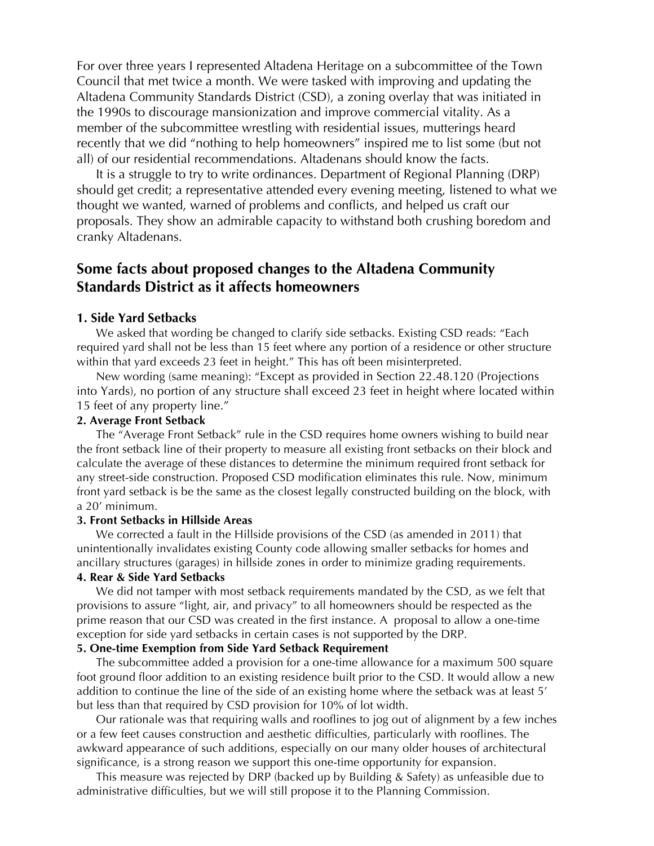For over three years I represented Altadena Heritage on a subcommittee of the Town Council that met twice a month. We were tasked with improving and updating the Altadena Community Standards District (CSD), a zoning overlay that was initiated in the 1990s to discourage mansionization and improve commercial vitality. As a member of the subcommittee wrestling with residential issues, mutterings heard recently that we did "nothing to help homeowners" inspired me to list some (but not all) of our residential recommendations. Altadenans should know the facts.

It is a struggle to try to write ordinances. Department of Regional Planning (DRP) should get credit; a representative attended every evening meeting, listened to what we thought we wanted, warned of problems and conflicts, and helped us craft our proposals. They show an admirable capacity to withstand both crushing boredom and cranky Altadenans.

# **Some facts about proposed changes to the Altadena Community Standards District as it affects homeowners**

# **1. Side Yard Setbacks**

We asked that wording be changed to clarify side setbacks. Existing CSD reads: "Each required yard shall not be less than 15 feet where any portion of a residence or other structure within that yard exceeds 23 feet in height." This has oft been misinterpreted.

New wording (same meaning): "Except as provided in Section 22.48.120 (Projections into Yards), no portion of any structure shall exceed 23 feet in height where located within 15 feet of any property line."

### **2. Average Front Setback**

The "Average Front Setback" rule in the CSD requires home owners wishing to build near the front setback line of their property to measure all existing front setbacks on their block and calculate the average of these distances to determine the minimum required front setback for any street-side construction. Proposed CSD modification eliminates this rule. Now, minimum front yard setback is be the same as the closest legally constructed building on the block, with a 20' minimum.

### **3. Front Setbacks in Hillside Areas**

We corrected a fault in the Hillside provisions of the CSD (as amended in 2011) that unintentionally invalidates existing County code allowing smaller setbacks for homes and ancillary structures (garages) in hillside zones in order to minimize grading requirements. **4. Rear & Side Yard Setbacks**

We did not tamper with most setback requirements mandated by the CSD, as we felt that provisions to assure "light, air, and privacy" to all homeowners should be respected as the prime reason that our CSD was created in the first instance. A proposal to allow a one-time exception for side yard setbacks in certain cases is not supported by the DRP.

# **5. One-time Exemption from Side Yard Setback Requirement**

The subcommittee added a provision for a one-time allowance for a maximum 500 square foot ground floor addition to an existing residence built prior to the CSD. It would allow a new addition to continue the line of the side of an existing home where the setback was at least 5' but less than that required by CSD provision for 10% of lot width.

Our rationale was that requiring walls and rooflines to jog out of alignment by a few inches or a few feet causes construction and aesthetic difficulties, particularly with rooflines. The awkward appearance of such additions, especially on our many older houses of architectural significance, is a strong reason we support this one-time opportunity for expansion.

This measure was rejected by DRP (backed up by Building & Safety) as unfeasible due to administrative difficulties, but we will still propose it to the Planning Commission.